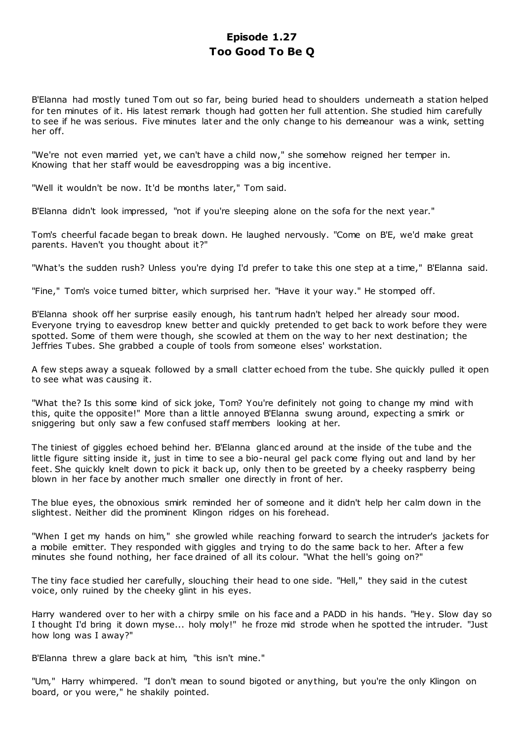# **Episode 1.27 Too Good To Be Q**

B'Elanna had mostly tuned Tom out so far, being buried head to shoulders underneath a station helped for ten minutes of it. His latest remark though had gotten her full attention. She studied him carefully to see if he was serious. Five minutes later and the only change to his demeanour was a wink, setting her off.

"We're not even married yet, we can't have a child now," she somehow reigned her temper in. Knowing that her staff would be eavesdropping was a big incentive.

"Well it wouldn't be now. It'd be months later," Tom said.

B'Elanna didn't look impressed, "not if you're sleeping alone on the sofa for the next year."

Tom's cheerful facade began to break down. He laughed nervously. "Come on B'E, we'd make great parents. Haven't you thought about it?"

"What's the sudden rush? Unless you're dying I'd prefer to take this one step at a time," B'Elanna said.

"Fine," Tom's voice turned bitter, which surprised her. "Have it your way." He stomped off.

B'Elanna shook off her surprise easily enough, his tant rum hadn't helped her already sour mood. Everyone trying to eavesdrop knew better and quickly pretended to get back to work before they were spotted. Some of them were though, she scowled at them on the way to her next destination; the Jeffries Tubes. She grabbed a couple of tools from someone elses' workstation.

A few steps away a squeak followed by a small clatter echoed from the tube. She quickly pulled it open to see what was causing it.

"What the? Is this some kind of sick joke, Tom? You're definitely not going to change my mind with this, quite the opposite!" More than a little annoyed B'Elanna swung around, expecting a smirk or sniggering but only saw a few confused staff members looking at her.

The tiniest of giggles echoed behind her. B'Elanna glanc ed around at the inside of the tube and the little figure sitting inside it, just in time to see a bio-neural gel pack come flying out and land by her feet. She quickly knelt down to pick it back up, only then to be greeted by a cheeky raspberry being blown in her face by another much smaller one directly in front of her.

The blue eyes, the obnoxious smirk reminded her of someone and it didn't help her calm down in the slightest. Neither did the prominent Klingon ridges on his forehead.

"When I get my hands on him," she growled while reaching forward to search the intruder's jackets for a mobile emitter. They responded with giggles and trying to do the same back to her. After a few minutes she found nothing, her face drained of all its colour. "What the hell's going on?"

The tiny face studied her carefully, slouching their head to one side. "Hell," they said in the cutest voice, only ruined by the cheeky glint in his eyes.

Harry wandered over to her with a chirpy smile on his face and a PADD in his hands. "Hey. Slow day so I thought I'd bring it down myse... holy moly!" he froze mid strode when he spotted the intruder. "Just how long was I away?"

B'Elanna threw a glare back at him, "this isn't mine."

"Um," Harry whimpered. "I don't mean to sound bigoted or anything, but you're the only Klingon on board, or you were," he shakily pointed.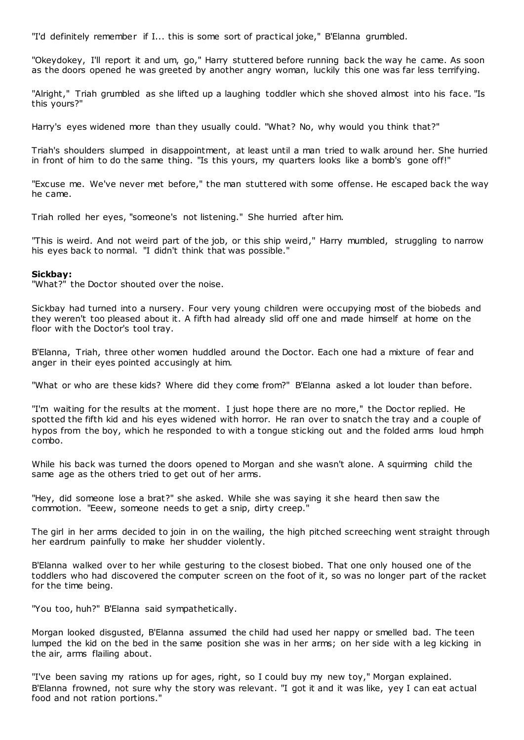"I'd definitely remember if I... this is some sort of practical joke," B'Elanna grumbled.

"Okeydokey, I'll report it and um, go," Harry stuttered before running back the way he came. As soon as the doors opened he was greeted by another angry woman, luckily this one was far less terrifying.

"Alright," Triah grumbled as she lifted up a laughing toddler which she shoved almost into his face. "Is this yours?"

Harry's eyes widened more than they usually could. "What? No, why would you think that?"

Triah's shoulders slumped in disappointment, at least until a man tried to walk around her. She hurried in front of him to do the same thing. "Is this yours, my quarters looks like a bomb's gone off!"

"Excuse me. We've never met before," the man stuttered with some offense. He escaped back the way he came.

Triah rolled her eyes, "someone's not listening." She hurried after him.

"This is weird. And not weird part of the job, or this ship weird," Harry mumbled, struggling to narrow his eyes back to normal. "I didn't think that was possible."

## **Sickbay:**

"What?" the Doctor shouted over the noise.

Sickbay had turned into a nursery. Four very young children were occupying most of the biobeds and they weren't too pleased about it. A fifth had already slid off one and made himself at home on the floor with the Doctor's tool tray.

B'Elanna, Triah, three other women huddled around the Doctor. Each one had a mixture of fear and anger in their eyes pointed accusingly at him.

"What or who are these kids? Where did they come from?" B'Elanna asked a lot louder than before.

"I'm waiting for the results at the moment. I just hope there are no more," the Doctor replied. He spotted the fifth kid and his eyes widened with horror. He ran over to snatch the tray and a couple of hypos from the boy, which he responded to with a tongue sticking out and the folded arms loud hmph combo.

While his back was turned the doors opened to Morgan and she wasn't alone. A squirming child the same age as the others tried to get out of her arms.

"Hey, did someone lose a brat?" she asked. While she was saying it she heard then saw the commotion. "Eeew, someone needs to get a snip, dirty creep."

The girl in her arms decided to join in on the wailing, the high pitched screeching went straight through her eardrum painfully to make her shudder violently.

B'Elanna walked over to her while gesturing to the closest biobed. That one only housed one of the toddlers who had discovered the computer screen on the foot of it, so was no longer part of the racket for the time being.

"You too, huh?" B'Elanna said sympathetically.

Morgan looked disgusted, B'Elanna assumed the child had used her nappy or smelled bad. The teen lumped the kid on the bed in the same position she was in her arms; on her side with a leg kicking in the air, arms flailing about.

"I've been saving my rations up for ages, right, so I could buy my new toy," Morgan explained. B'Elanna frowned, not sure why the story was relevant. "I got it and it was like, yey I can eat actual food and not ration portions."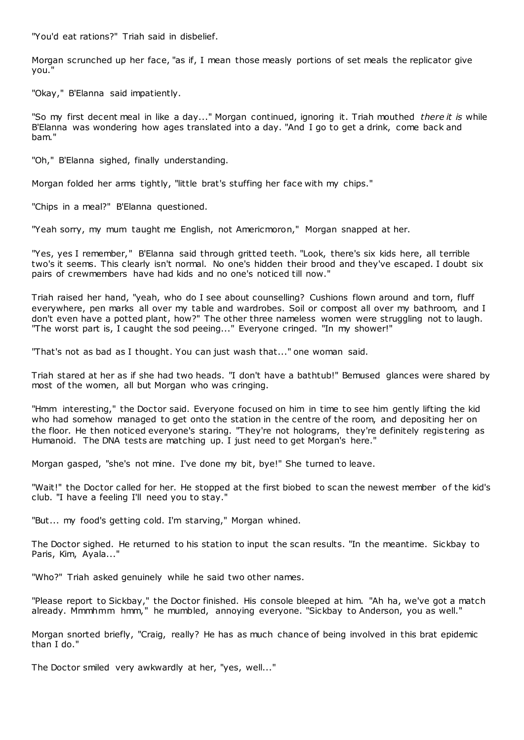"You'd eat rations?" Triah said in disbelief.

Morgan scrunched up her face, "as if, I mean those measly portions of set meals the replicator give you."

"Okay," B'Elanna said impatiently.

"So my first decent meal in like a day..." Morgan continued, ignoring it. Triah mouthed *there it is* while B'Elanna was wondering how ages translated into a day. "And I go to get a drink, come back and bam."

"Oh," B'Elanna sighed, finally understanding.

Morgan folded her arms tightly, "little brat's stuffing her face with my chips."

"Chips in a meal?" B'Elanna questioned.

"Yeah sorry, my mum taught me English, not Americmoron," Morgan snapped at her.

"Yes, yes I remember," B'Elanna said through gritted teeth. "Look, there's six kids here, all terrible two's it seems. This clearly isn't normal. No one's hidden their brood and they've escaped. I doubt six pairs of crewmembers have had kids and no one's noticed till now."

Triah raised her hand, "yeah, who do I see about counselling? Cushions flown around and torn, fluff everywhere, pen marks all over my table and wardrobes. Soil or compost all over my bathroom, and I don't even have a potted plant, how?" The other three nameless women were struggling not to laugh. "The worst part is, I caught the sod peeing..." Everyone cringed. "In my shower!"

"That's not as bad as I thought. You can just wash that..." one woman said.

Triah stared at her as if she had two heads. "I don't have a bathtub!" Bemused glances were shared by most of the women, all but Morgan who was cringing.

"Hmm interesting," the Doctor said. Everyone focused on him in time to see him gently lifting the kid who had somehow managed to get onto the station in the centre of the room, and depositing her on the floor. He then noticed everyone's staring. "They're not holograms, they're definitely regis tering as Humanoid. The DNA tests are matching up. I just need to get Morgan's here."

Morgan gasped, "she's not mine. I've done my bit, bye!" She turned to leave.

"Wait!" the Doctor called for her. He stopped at the first biobed to scan the newest member of the kid's club. "I have a feeling I'll need you to stay."

"But... my food's getting cold. I'm starving," Morgan whined.

The Doctor sighed. He returned to his station to input the scan results. "In the meantime. Sickbay to Paris, Kim, Ayala..."

"Who?" Triah asked genuinely while he said two other names.

"Please report to Sickbay," the Doctor finished. His console bleeped at him. "Ah ha, we've got a match already. Mmmhmm hmm," he mumbled, annoying everyone. "Sickbay to Anderson, you as well."

Morgan snorted briefly, "Craig, really? He has as much chance of being involved in this brat epidemic than I do."

The Doctor smiled very awkwardly at her, "yes, well..."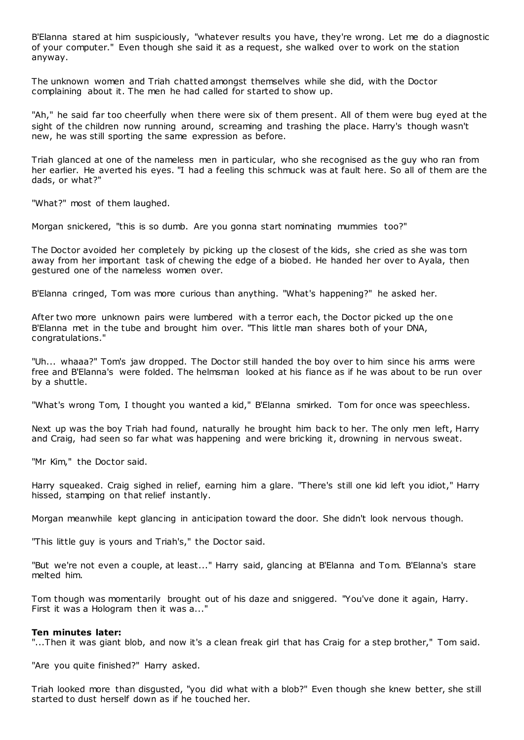B'Elanna stared at him suspiciously, "whatever results you have, they're wrong. Let me do a diagnostic of your computer." Even though she said it as a request, she walked over to work on the station anyway.

The unknown women and Triah chatted amongst themselves while she did, with the Doctor complaining about it. The men he had called for started to show up.

"Ah," he said far too cheerfully when there were six of them present. All of them were bug eyed at the sight of the children now running around, screaming and trashing the place. Harry's though wasn't new, he was still sporting the same expression as before.

Triah glanced at one of the nameless men in particular, who she recognised as the guy who ran from her earlier. He averted his eyes. "I had a feeling this schmuck was at fault here. So all of them are the dads, or what?"

"What?" most of them laughed.

Morgan snickered, "this is so dumb. Are you gonna start nominating mummies too?"

The Doctor avoided her completely by picking up the closest of the kids, she cried as she was torn away from her important task of chewing the edge of a biobed. He handed her over to Ayala, then gestured one of the nameless women over.

B'Elanna cringed, Tom was more curious than anything. "What's happening?" he asked her.

After two more unknown pairs were lumbered with a terror each, the Doctor picked up the one B'Elanna met in the tube and brought him over. "This little man shares both of your DNA, congratulations."

"Uh... whaaa?" Tom's jaw dropped. The Doctor still handed the boy over to him since his arms were free and B'Elanna's were folded. The helmsman looked at his fiance as if he was about to be run over by a shuttle.

"What's wrong Tom, I thought you wanted a kid," B'Elanna smirked. Tom for once was speechless.

Next up was the boy Triah had found, naturally he brought him back to her. The only men left, Harry and Craig, had seen so far what was happening and were bricking it, drowning in nervous sweat.

"Mr Kim," the Doctor said.

Harry squeaked. Craig sighed in relief, earning him a glare. "There's still one kid left you idiot," Harry hissed, stamping on that relief instantly.

Morgan meanwhile kept glancing in anticipation toward the door. She didn't look nervous though.

"This little guy is yours and Triah's," the Doctor said.

"But we're not even a couple, at least..." Harry said, glancing at B'Elanna and Tom. B'Elanna's stare melted him.

Tom though was momentarily brought out of his daze and sniggered. "You've done it again, Harry. First it was a Hologram then it was a..."

#### **Ten minutes later:**

"...Then it was giant blob, and now it's a clean freak girl that has Craig for a step brother," Tom said.

"Are you quite finished?" Harry asked.

Triah looked more than disgusted, "you did what with a blob?" Even though she knew better, she still started to dust herself down as if he touched her.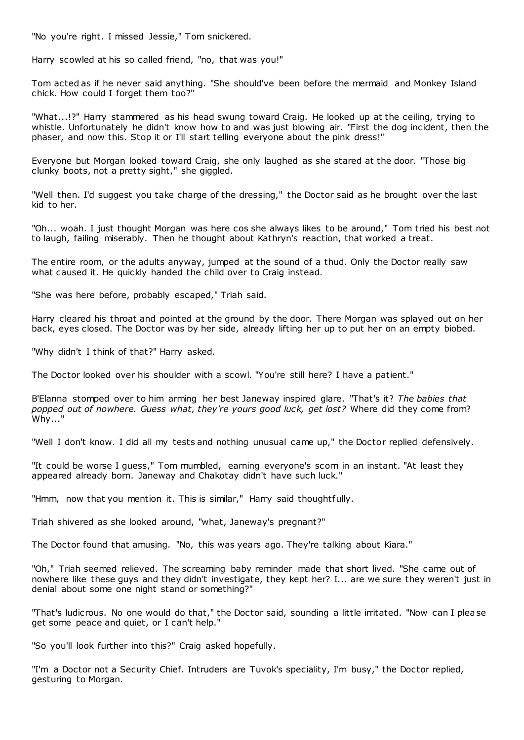"No you're right. I missed Jessie," Tom snickered.

Harry scowled at his so called friend, "no, that was you!"

Tom acted as if he never said anything. "She should've been before the mermaid and Monkey Island chick. How could I forget them too?"

"What...!?" Harry stammered as his head swung toward Craig. He looked up at the ceiling, trying to whistle. Unfortunately he didn't know how to and was just blowing air. "First the dog incident, then the phaser, and now this. Stop it or I'll start telling everyone about the pink dress!"

Everyone but Morgan looked toward Craig, she only laughed as she stared at the door. "Those big clunky boots, not a pretty sight," she giggled.

"Well then. I'd suggest you take charge of the dressing," the Doctor said as he brought over the last kid to her.

"Oh... woah. I just thought Morgan was here cos she always likes to be around," Tom tried his best not to laugh, failing miserably. Then he thought about Kathryn's reaction, that worked a treat.

The entire room, or the adults anyway, jumped at the sound of a thud. Only the Doctor really saw what caused it. He quickly handed the child over to Craig instead.

"She was here before, probably escaped," Triah said.

Harry cleared his throat and pointed at the ground by the door. There Morgan was splayed out on her back, eyes closed. The Doctor was by her side, already lifting her up to put her on an empty biobed.

"Why didn't I think of that?" Harry asked.

The Doctor looked over his shoulder with a scowl. "You're still here? I have a patient."

B'Elanna stomped over to him arming her best Janeway inspired glare. "That's it? *The babies that popped out of nowhere. Guess what, they're yours good luck, get lost?* Where did they come from? Why..."

"Well I don't know. I did all my tests and nothing unusual came up," the Doctor replied defensively.

"It could be worse I guess," Tom mumbled, earning everyone's scorn in an instant. "At least they appeared already born. Janeway and Chakotay didn't have such luck."

"Hmm, now that you mention it. This is similar," Harry said thoughtfully.

Triah shivered as she looked around, "what, Janeway's pregnant?"

The Doctor found that amusing. "No, this was years ago. They're talking about Kiara."

"Oh," Triah seemed relieved. The screaming baby reminder made that short lived. "She came out of nowhere like these guys and they didn't investigate, they kept her? I... are we sure they weren't just in denial about some one night stand or something?"

"That's ludicrous. No one would do that," the Doctor said, sounding a little irritated. "Now can I please get some peace and quiet, or I can't help."

"So you'll look further into this?" Craig asked hopefully.

"I'm a Doctor not a Security Chief. Intruders are Tuvok's speciality, I'm busy," the Doctor replied, gesturing to Morgan.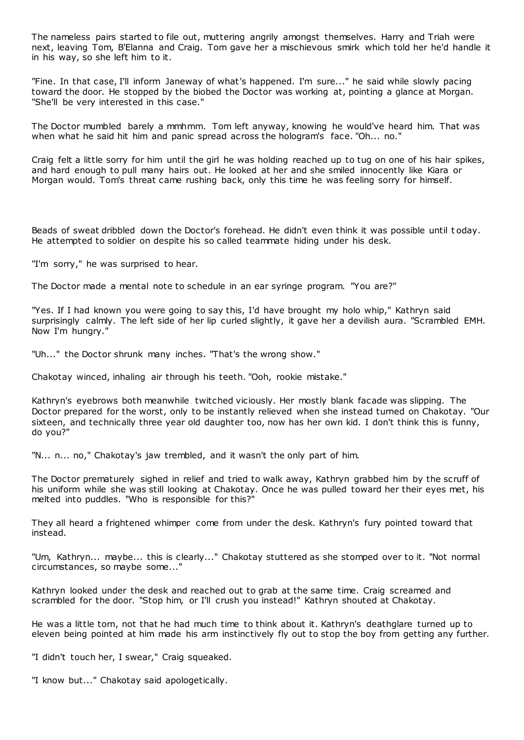The nameless pairs started to file out, muttering angrily amongst themselves. Harry and Triah were next, leaving Tom, B'Elanna and Craig. Tom gave her a mischievous smirk which told her he'd handle it in his way, so she left him to it.

"Fine. In that case, I'll inform Janeway of what's happened. I'm sure..." he said while slowly pacing toward the door. He stopped by the biobed the Doctor was working at, pointing a glance at Morgan. "She'll be very interested in this case."

The Doctor mumbled barely a mmhmm. Tom left anyway, knowing he would've heard him. That was when what he said hit him and panic spread across the hologram's face. "Oh... no."

Craig felt a little sorry for him until the girl he was holding reached up to tug on one of his hair spikes, and hard enough to pull many hairs out. He looked at her and she smiled innocently like Kiara or Morgan would. Tom's threat came rushing back, only this time he was feeling sorry for himself.

Beads of sweat dribbled down the Doctor's forehead. He didn't even think it was possible until t oday. He attempted to soldier on despite his so called teammate hiding under his desk.

"I'm sorry," he was surprised to hear.

The Doctor made a mental note to schedule in an ear syringe program. "You are?"

"Yes. If I had known you were going to say this, I'd have brought my holo whip," Kathryn said surprisingly calmly. The left side of her lip curled slightly, it gave her a devilish aura. "Scrambled EMH. Now I'm hungry."

"Uh..." the Doctor shrunk many inches. "That's the wrong show."

Chakotay winced, inhaling air through his teeth. "Ooh, rookie mistake."

Kathryn's eyebrows both meanwhile twitched viciously. Her mostly blank facade was slipping. The Doctor prepared for the worst, only to be instantly relieved when she instead turned on Chakotay. "Our sixteen, and technically three year old daughter too, now has her own kid. I don't think this is funny, do you?"

"N... n... no," Chakotay's jaw trembled, and it wasn't the only part of him.

The Doctor prematurely sighed in relief and tried to walk away, Kathryn grabbed him by the scruff of his uniform while she was still looking at Chakotay. Once he was pulled toward her their eyes met, his melted into puddles. "Who is responsible for this?"

They all heard a frightened whimper come from under the desk. Kathryn's fury pointed toward that instead.

"Um, Kathryn... maybe... this is clearly..." Chakotay stuttered as she stomped over to it. "Not normal circumstances, so maybe some..."

Kathryn looked under the desk and reached out to grab at the same time. Craig screamed and scrambled for the door. "Stop him, or I'll crush you instead!" Kathryn shouted at Chakotay.

He was a little torn, not that he had much time to think about it. Kathryn's deathglare turned up to eleven being pointed at him made his arm instinctively fly out to stop the boy from getting any further.

"I didn't touch her, I swear," Craig squeaked.

"I know but..." Chakotay said apologetically.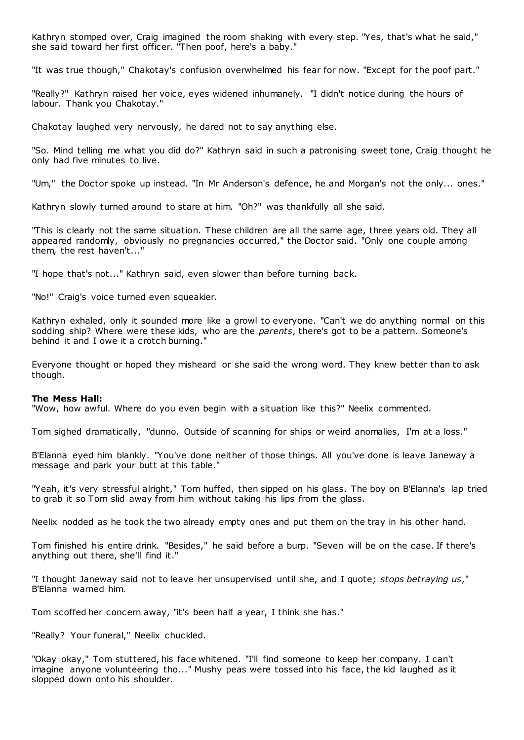Kathryn stomped over, Craig imagined the room shaking with every step. "Yes, that's what he said," she said toward her first officer. "Then poof, here's a baby."

"It was true though," Chakotay's confusion overwhelmed his fear for now. "Except for the poof part."

"Really?" Kathryn raised her voice, eyes widened inhumanely. "I didn't notice during the hours of labour. Thank you Chakotay."

Chakotay laughed very nervously, he dared not to say anything else.

"So. Mind telling me what you did do?" Kathryn said in such a patronising sweet tone, Craig thought he only had five minutes to live.

"Um," the Doctor spoke up instead. "In Mr Anderson's defence, he and Morgan's not the only... ones."

Kathryn slowly turned around to stare at him. "Oh?" was thankfully all she said.

"This is clearly not the same situation. These children are all the same age, three years old. They all appeared randomly, obviously no pregnancies occurred," the Doctor said. "Only one couple among them, the rest haven't..."

"I hope that's not..." Kathryn said, even slower than before turning back.

"No!" Craig's voice turned even squeakier.

Kathryn exhaled, only it sounded more like a growl to everyone. "Can't we do anything normal on this sodding ship? Where were these kids, who are the *parents*, there's got to be a pattern. Someone's behind it and I owe it a crotch burning."

Everyone thought or hoped they misheard or she said the wrong word. They knew better than to ask though.

#### **The Mess Hall:**

"Wow, how awful. Where do you even begin with a situation like this?" Neelix commented.

Tom sighed dramatically, "dunno. Outside of scanning for ships or weird anomalies, I'm at a loss."

B'Elanna eyed him blankly. "You've done neither of those things. All you've done is leave Janeway a message and park your butt at this table."

"Yeah, it's very stressful alright," Tom huffed, then sipped on his glass. The boy on B'Elanna's lap tried to grab it so Tom slid away from him without taking his lips from the glass.

Neelix nodded as he took the two already empty ones and put them on the tray in his other hand.

Tom finished his entire drink. "Besides," he said before a burp. "Seven will be on the case. If there's anything out there, she'll find it."

"I thought Janeway said not to leave her unsupervised until she, and I quote; *stops betraying us*," B'Elanna warned him.

Tom scoffed her concern away, "it's been half a year, I think she has."

"Really? Your funeral," Neelix chuckled.

"Okay okay," Tom stuttered, his face whitened. "I'll find someone to keep her company. I can't imagine anyone volunteering tho..." Mushy peas were tossed into his face, the kid laughed as it slopped down onto his shoulder.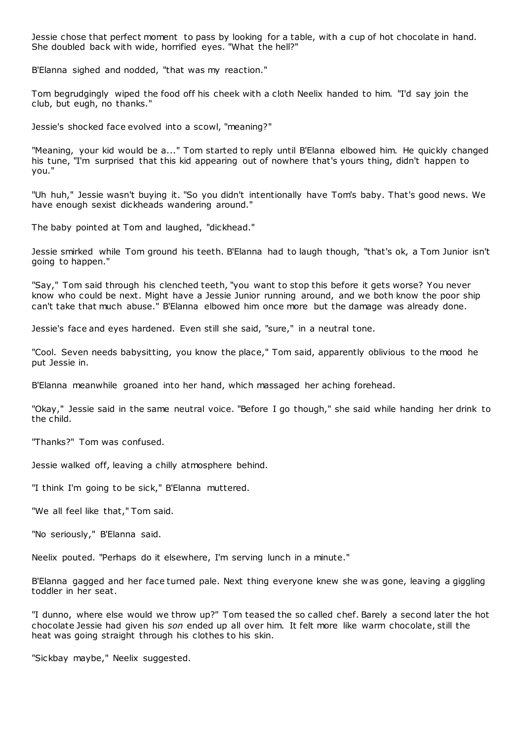Jessie chose that perfect moment to pass by looking for a table, with a cup of hot chocolate in hand. She doubled back with wide, horrified eyes. "What the hell?"

B'Elanna sighed and nodded, "that was my reaction."

Tom begrudgingly wiped the food off his cheek with a cloth Neelix handed to him. "I'd say join the club, but eugh, no thanks."

Jessie's shocked face evolved into a scowl, "meaning?"

"Meaning, your kid would be a..." Tom started to reply until B'Elanna elbowed him. He quickly changed his tune, "I'm surprised that this kid appearing out of nowhere that's yours thing, didn't happen to you."

"Uh huh," Jessie wasn't buying it. "So you didn't intentionally have Tom's baby. That's good news. We have enough sexist dickheads wandering around."

The baby pointed at Tom and laughed, "dickhead."

Jessie smirked while Tom ground his teeth. B'Elanna had to laugh though, "that's ok, a Tom Junior isn't going to happen."

"Say," Tom said through his clenched teeth, "you want to stop this before it gets worse? You never know who could be next. Might have a Jessie Junior running around, and we both know the poor ship can't take that much abuse." B'Elanna elbowed him once more but the damage was already done.

Jessie's face and eyes hardened. Even still she said, "sure," in a neutral tone.

"Cool. Seven needs babysitting, you know the place," Tom said, apparently oblivious to the mood he put Jessie in.

B'Elanna meanwhile groaned into her hand, which massaged her aching forehead.

"Okay," Jessie said in the same neutral voice. "Before I go though," she said while handing her drink to the child.

"Thanks?" Tom was confused.

Jessie walked off, leaving a chilly atmosphere behind.

"I think I'm going to be sick," B'Elanna muttered.

"We all feel like that," Tom said.

"No seriously," B'Elanna said.

Neelix pouted. "Perhaps do it elsewhere, I'm serving lunch in a minute."

B'Elanna gagged and her face turned pale. Next thing everyone knew she was gone, leaving a giggling toddler in her seat.

"I dunno, where else would we throw up?" Tom teased the so called chef. Barely a second later the hot chocolate Jessie had given his *son* ended up all over him. It felt more like warm chocolate, still the heat was going straight through his clothes to his skin.

"Sickbay maybe," Neelix suggested.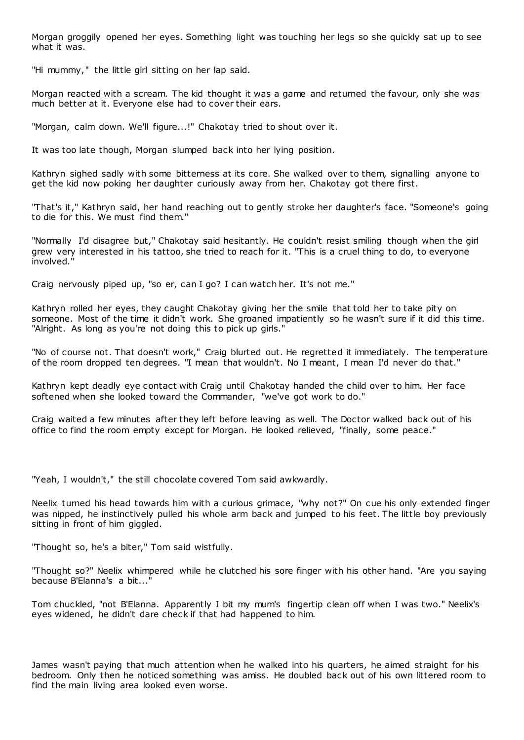Morgan groggily opened her eyes. Something light was touching her legs so she quickly sat up to see what it was.

"Hi mummy," the little girl sitting on her lap said.

Morgan reacted with a scream. The kid thought it was a game and returned the favour, only she was much better at it. Everyone else had to cover their ears.

"Morgan, calm down. We'll figure...!" Chakotay tried to shout over it.

It was too late though, Morgan slumped back into her lying position.

Kathryn sighed sadly with some bitterness at its core. She walked over to them, signalling anyone to get the kid now poking her daughter curiously away from her. Chakotay got there first.

"That's it," Kathryn said, her hand reaching out to gently stroke her daughter's face. "Someone's going to die for this. We must find them."

"Normally I'd disagree but," Chakotay said hesitantly. He couldn't resist smiling though when the girl grew very interested in his tattoo, she tried to reach for it. "This is a cruel thing to do, to everyone involved."

Craig nervously piped up, "so er, can I go? I can watch her. It's not me."

Kathryn rolled her eyes, they caught Chakotay giving her the smile that told her to take pity on someone. Most of the time it didn't work. She groaned impatiently so he wasn't sure if it did this time. "Alright. As long as you're not doing this to pick up girls."

"No of course not. That doesn't work," Craig blurted out. He regretted it immediately. The temperature of the room dropped ten degrees. "I mean that wouldn't. No I meant, I mean I'd never do that."

Kathryn kept deadly eye contact with Craig until Chakotay handed the child over to him. Her face softened when she looked toward the Commander, "we've got work to do."

Craig waited a few minutes after they left before leaving as well. The Doctor walked back out of his office to find the room empty except for Morgan. He looked relieved, "finally, some peace."

"Yeah, I wouldn't," the still chocolate covered Tom said awkwardly.

Neelix turned his head towards him with a curious grimace, "why not?" On cue his only extended finger was nipped, he instinctively pulled his whole arm back and jumped to his feet. The little boy previously sitting in front of him giggled.

"Thought so, he's a biter," Tom said wistfully.

"Thought so?" Neelix whimpered while he clutched his sore finger with his other hand. "Are you saying because B'Elanna's a bit...'

Tom chuckled, "not B'Elanna. Apparently I bit my mum's fingertip clean off when I was two." Neelix's eyes widened, he didn't dare check if that had happened to him.

James wasn't paying that much attention when he walked into his quarters, he aimed straight for his bedroom. Only then he noticed something was amiss. He doubled back out of his own littered room to find the main living area looked even worse.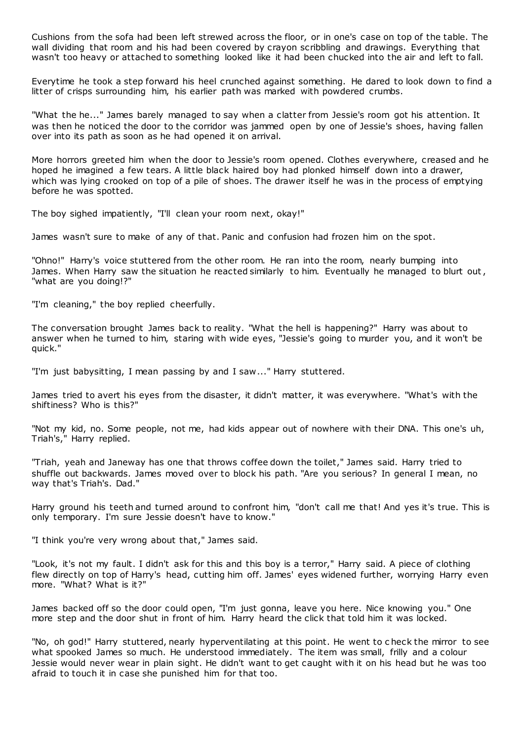Cushions from the sofa had been left strewed across the floor, or in one's case on top of the table. The wall dividing that room and his had been covered by crayon scribbling and drawings. Everything that wasn't too heavy or attached to something looked like it had been chucked into the air and left to fall.

Everytime he took a step forward his heel crunched against something. He dared to look down to find a litter of crisps surrounding him, his earlier path was marked with powdered crumbs.

"What the he..." James barely managed to say when a clatter from Jessie's room got his attention. It was then he noticed the door to the corridor was jammed open by one of Jessie's shoes, having fallen over into its path as soon as he had opened it on arrival.

More horrors greeted him when the door to Jessie's room opened. Clothes everywhere, creased and he hoped he imagined a few tears. A little black haired boy had plonked himself down into a drawer, which was lying crooked on top of a pile of shoes. The drawer itself he was in the process of emptying before he was spotted.

The boy sighed impatiently, "I'll clean your room next, okay!"

James wasn't sure to make of any of that. Panic and confusion had frozen him on the spot.

"Ohno!" Harry's voice stuttered from the other room. He ran into the room, nearly bumping into James. When Harry saw the situation he reacted similarly to him. Eventually he managed to blurt out , "what are you doing!?"

"I'm cleaning," the boy replied cheerfully.

The conversation brought James back to reality. "What the hell is happening?" Harry was about to answer when he turned to him, staring with wide eyes, "Jessie's going to murder you, and it won't be quick."

"I'm just babysitting, I mean passing by and I saw..." Harry stuttered.

James tried to avert his eyes from the disaster, it didn't matter, it was everywhere. "What's with the shiftiness? Who is this?"

"Not my kid, no. Some people, not me, had kids appear out of nowhere with their DNA. This one's uh, Triah's," Harry replied.

"Triah, yeah and Janeway has one that throws coffee down the toilet," James said. Harry tried to shuffle out backwards. James moved over to block his path. "Are you serious? In general I mean, no way that's Triah's. Dad."

Harry ground his teeth and turned around to confront him, "don't call me that! And yes it's true. This is only temporary. I'm sure Jessie doesn't have to know."

"I think you're very wrong about that," James said.

"Look, it's not my fault. I didn't ask for this and this boy is a terror," Harry said. A piece of clothing flew directly on top of Harry's head, cutting him off. James' eyes widened further, worrying Harry even more. "What? What is it?"

James backed off so the door could open, "I'm just gonna, leave you here. Nice knowing you." One more step and the door shut in front of him. Harry heard the click that told him it was locked.

"No, oh god!" Harry stuttered, nearly hyperventilating at this point. He went to c heck the mirror to see what spooked James so much. He understood immediately. The item was small, frilly and a colour Jessie would never wear in plain sight. He didn't want to get caught with it on his head but he was too afraid to touch it in case she punished him for that too.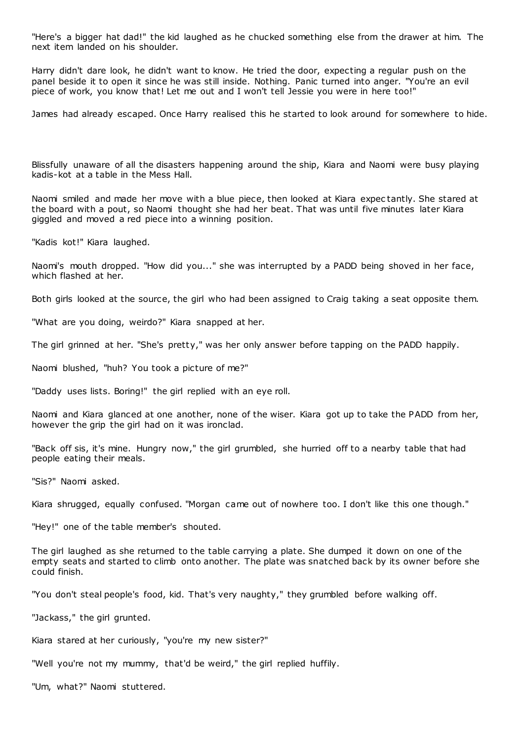"Here's a bigger hat dad!" the kid laughed as he chucked something else from the drawer at him. The next item landed on his shoulder.

Harry didn't dare look, he didn't want to know. He tried the door, expecting a regular push on the panel beside it to open it since he was still inside. Nothing. Panic turned into anger. "You're an evil piece of work, you know that! Let me out and I won't tell Jessie you were in here too!"

James had already escaped. Once Harry realised this he started to look around for somewhere to hide.

Blissfully unaware of all the disasters happening around the ship, Kiara and Naomi were busy playing kadis-kot at a table in the Mess Hall.

Naomi smiled and made her move with a blue piece, then looked at Kiara expec tantly. She stared at the board with a pout, so Naomi thought she had her beat. That was until five minutes later Kiara giggled and moved a red piece into a winning position.

"Kadis kot!" Kiara laughed.

Naomi's mouth dropped. "How did you..." she was interrupted by a PADD being shoved in her face, which flashed at her.

Both girls looked at the source, the girl who had been assigned to Craig taking a seat opposite them.

"What are you doing, weirdo?" Kiara snapped at her.

The girl grinned at her. "She's pretty," was her only answer before tapping on the PADD happily.

Naomi blushed, "huh? You took a picture of me?"

"Daddy uses lists. Boring!" the girl replied with an eye roll.

Naomi and Kiara glanced at one another, none of the wiser. Kiara got up to take the PADD from her, however the grip the girl had on it was ironclad.

"Back off sis, it's mine. Hungry now," the girl grumbled, she hurried off to a nearby table that had people eating their meals.

"Sis?" Naomi asked.

Kiara shrugged, equally confused. "Morgan came out of nowhere too. I don't like this one though."

"Hey!" one of the table member's shouted.

The girl laughed as she returned to the table carrying a plate. She dumped it down on one of the empty seats and started to climb onto another. The plate was snatched back by its owner before she could finish.

"You don't steal people's food, kid. That's very naughty," they grumbled before walking off.

"Jackass," the girl grunted.

Kiara stared at her curiously, "you're my new sister?"

"Well you're not my mummy, that'd be weird," the girl replied huffily.

"Um, what?" Naomi stuttered.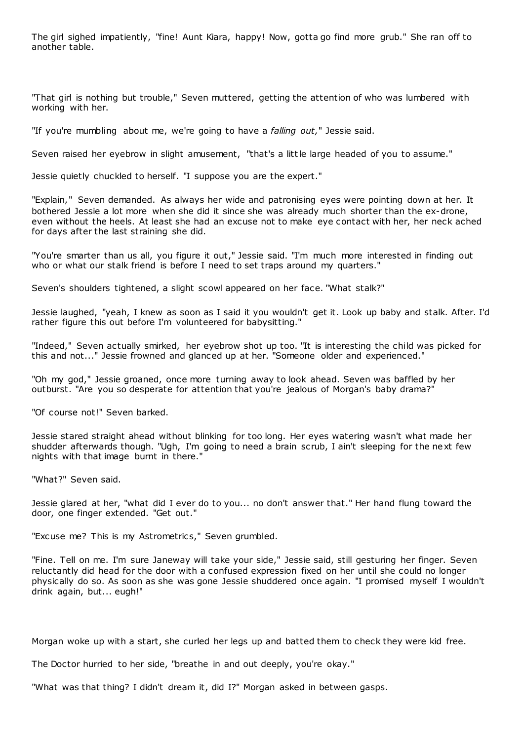The girl sighed impatiently, "fine! Aunt Kiara, happy! Now, gotta go find more grub." She ran off to another table.

"That girl is nothing but trouble," Seven muttered, getting the attention of who was lumbered with working with her.

"If you're mumbling about me, we're going to have a *falling out,*" Jessie said.

Seven raised her eyebrow in slight amusement, "that's a little large headed of you to assume."

Jessie quietly chuckled to herself. "I suppose you are the expert."

"Explain," Seven demanded. As always her wide and patronising eyes were pointing down at her. It bothered Jessie a lot more when she did it since she was already much shorter than the ex-drone, even without the heels. At least she had an excuse not to make eye contact with her, her neck ached for days after the last straining she did.

"You're smarter than us all, you figure it out," Jessie said. "I'm much more interested in finding out who or what our stalk friend is before I need to set traps around my quarters."

Seven's shoulders tightened, a slight scowl appeared on her face. "What stalk?"

Jessie laughed, "yeah, I knew as soon as I said it you wouldn't get it. Look up baby and stalk. After. I'd rather figure this out before I'm volunteered for babysitting."

"Indeed," Seven actually smirked, her eyebrow shot up too. "It is interesting the child was picked for this and not..." Jessie frowned and glanced up at her. "Someone older and experienced."

"Oh my god," Jessie groaned, once more turning away to look ahead. Seven was baffled by her outburst. "Are you so desperate for attention that you're jealous of Morgan's baby drama?"

"Of course not!" Seven barked.

Jessie stared straight ahead without blinking for too long. Her eyes watering wasn't what made her shudder afterwards though. "Ugh, I'm going to need a brain scrub, I ain't sleeping for the next few nights with that image burnt in there."

"What?" Seven said.

Jessie glared at her, "what did I ever do to you... no don't answer that." Her hand flung toward the door, one finger extended. "Get out."

"Excuse me? This is my Astrometrics," Seven grumbled.

"Fine. Tell on me. I'm sure Janeway will take your side," Jessie said, still gesturing her finger. Seven reluctantly did head for the door with a confused expression fixed on her until she could no longer physically do so. As soon as she was gone Jessie shuddered once again. "I promised myself I wouldn't drink again, but... eugh!"

Morgan woke up with a start, she curled her legs up and batted them to check they were kid free.

The Doctor hurried to her side, "breathe in and out deeply, you're okay."

"What was that thing? I didn't dream it, did I?" Morgan asked in between gasps.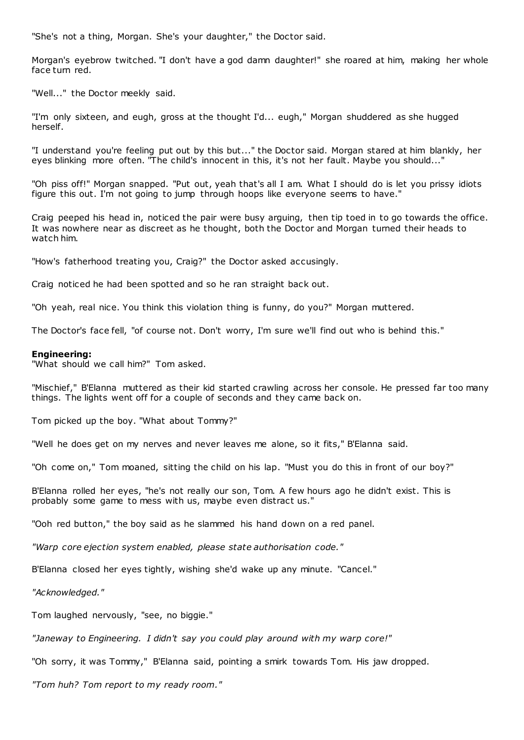"She's not a thing, Morgan. She's your daughter," the Doctor said.

Morgan's eyebrow twitched. "I don't have a god damn daughter!" she roared at him, making her whole face turn red.

"Well..." the Doctor meekly said.

"I'm only sixteen, and eugh, gross at the thought I'd... eugh," Morgan shuddered as she hugged herself.

"I understand you're feeling put out by this but..." the Doctor said. Morgan stared at him blankly, her eyes blinking more often. "The child's innocent in this, it's not her fault. Maybe you should..."

"Oh piss off!" Morgan snapped. "Put out, yeah that's all I am. What I should do is let you prissy idiots figure this out. I'm not going to jump through hoops like everyone seems to have."

Craig peeped his head in, noticed the pair were busy arguing, then tip toed in to go towards the office. It was nowhere near as discreet as he thought, both the Doctor and Morgan turned their heads to watch him.

"How's fatherhood treating you, Craig?" the Doctor asked accusingly.

Craig noticed he had been spotted and so he ran straight back out.

"Oh yeah, real nice. You think this violation thing is funny, do you?" Morgan muttered.

The Doctor's face fell, "of course not. Don't worry, I'm sure we'll find out who is behind this."

#### **Engineering:**

"What should we call him?" Tom asked.

"Mischief," B'Elanna muttered as their kid started crawling across her console. He pressed far too many things. The lights went off for a couple of seconds and they came back on.

Tom picked up the boy. "What about Tommy?"

"Well he does get on my nerves and never leaves me alone, so it fits," B'Elanna said.

"Oh come on," Tom moaned, sitting the child on his lap. "Must you do this in front of our boy?"

B'Elanna rolled her eyes, "he's not really our son, Tom. A few hours ago he didn't exist. This is probably some game to mess with us, maybe even distract us."

"Ooh red button," the boy said as he slammed his hand down on a red panel.

*"Warp core ejection system enabled, please state authorisation code."*

B'Elanna closed her eyes tightly, wishing she'd wake up any minute. "Cancel."

*"Acknowledged."*

Tom laughed nervously, "see, no biggie."

*"Janeway to Engineering. I didn't say you could play around with my warp core!"*

"Oh sorry, it was Tommy," B'Elanna said, pointing a smirk towards Tom. His jaw dropped.

*"Tom huh? Tom report to my ready room."*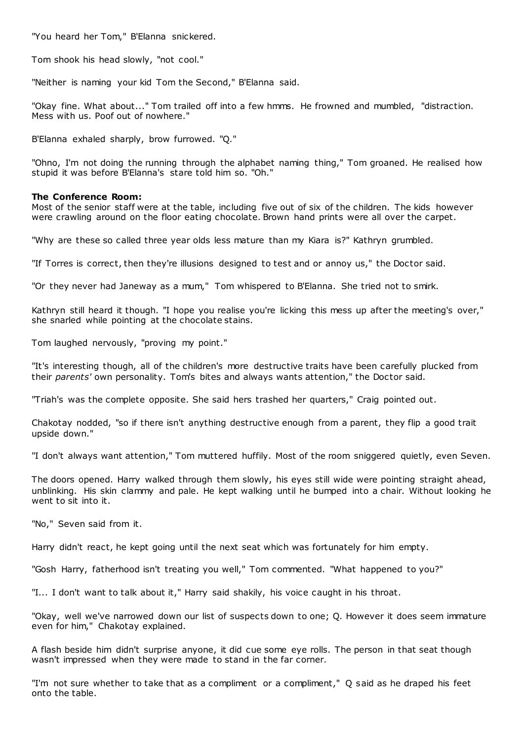"You heard her Tom," B'Elanna snickered.

Tom shook his head slowly, "not cool."

"Neither is naming your kid Tom the Second," B'Elanna said.

"Okay fine. What about..." Tom trailed off into a few hmms. He frowned and mumbled, "distraction. Mess with us. Poof out of nowhere."

B'Elanna exhaled sharply, brow furrowed. "Q."

"Ohno, I'm not doing the running through the alphabet naming thing," Tom groaned. He realised how stupid it was before B'Elanna's stare told him so. "Oh."

## **The Conference Room:**

Most of the senior staff were at the table, including five out of six of the children. The kids however were crawling around on the floor eating chocolate. Brown hand prints were all over the carpet.

"Why are these so called three year olds less mature than my Kiara is?" Kathryn grumbled.

"If Torres is correct, then they're illusions designed to test and or annoy us," the Doctor said.

"Or they never had Janeway as a mum," Tom whispered to B'Elanna. She tried not to smirk.

Kathryn still heard it though. "I hope you realise you're licking this mess up after the meeting's over," she snarled while pointing at the chocolate stains.

Tom laughed nervously, "proving my point."

"It's interesting though, all of the children's more destructive traits have been carefully plucked from their *parents'* own personality. Tom's bites and always wants attention," the Doctor said.

"Triah's was the complete opposite. She said hers trashed her quarters," Craig pointed out.

Chakotay nodded, "so if there isn't anything destructive enough from a parent, they flip a good trait upside down."

"I don't always want attention," Tom muttered huffily. Most of the room sniggered quietly, even Seven.

The doors opened. Harry walked through them slowly, his eyes still wide were pointing straight ahead, unblinking. His skin clammy and pale. He kept walking until he bumped into a chair. Without looking he went to sit into it.

"No," Seven said from it.

Harry didn't react, he kept going until the next seat which was fortunately for him empty.

"Gosh Harry, fatherhood isn't treating you well," Tom commented. "What happened to you?"

"I... I don't want to talk about it," Harry said shakily, his voice caught in his throat.

"Okay, well we've narrowed down our list of suspects down to one; Q. However it does seem immature even for him," Chakotay explained.

A flash beside him didn't surprise anyone, it did cue some eye rolls. The person in that seat though wasn't impressed when they were made to stand in the far corner.

"I'm not sure whether to take that as a compliment or a compliment," Q said as he draped his feet onto the table.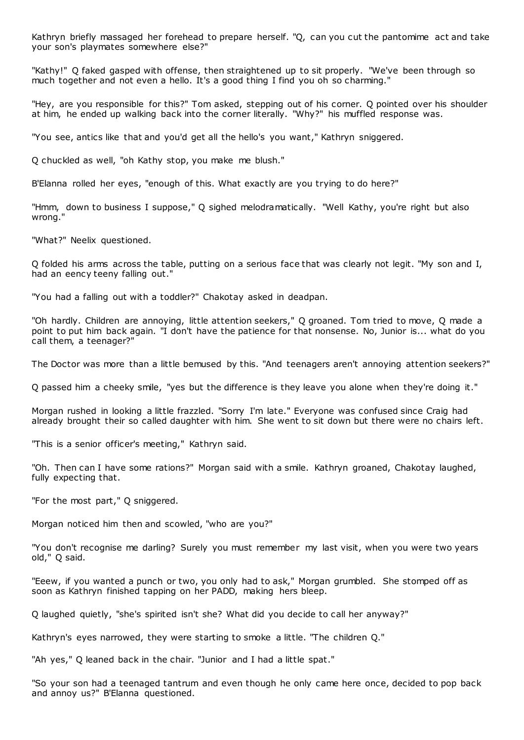Kathryn briefly massaged her forehead to prepare herself. "Q, can you cut the pantomime act and take your son's playmates somewhere else?"

"Kathy!" Q faked gasped with offense, then straightened up to sit properly. "We've been through so much together and not even a hello. It's a good thing I find you oh so charming."

"Hey, are you responsible for this?" Tom asked, stepping out of his corner. Q pointed over his shoulder at him, he ended up walking back into the corner literally. "Why?" his muffled response was.

"You see, antics like that and you'd get all the hello's you want," Kathryn sniggered.

Q chuckled as well, "oh Kathy stop, you make me blush."

B'Elanna rolled her eyes, "enough of this. What exactly are you trying to do here?"

"Hmm, down to business I suppose," Q sighed melodramatically. "Well Kathy, you're right but also wrong."

"What?" Neelix questioned.

Q folded his arms across the table, putting on a serious face that was clearly not legit. "My son and I, had an eency teeny falling out."

"You had a falling out with a toddler?" Chakotay asked in deadpan.

"Oh hardly. Children are annoying, little attention seekers," Q groaned. Tom tried to move, Q made a point to put him back again. "I don't have the patience for that nonsense. No, Junior is... what do you call them, a teenager?"

The Doctor was more than a little bemused by this. "And teenagers aren't annoying attention seekers?"

Q passed him a cheeky smile, "yes but the difference is they leave you alone when they're doing it."

Morgan rushed in looking a little frazzled. "Sorry I'm late." Everyone was confused since Craig had already brought their so called daughter with him. She went to sit down but there were no chairs left.

"This is a senior officer's meeting," Kathryn said.

"Oh. Then can I have some rations?" Morgan said with a smile. Kathryn groaned, Chakotay laughed, fully expecting that.

"For the most part," Q sniggered.

Morgan noticed him then and scowled, "who are you?"

"You don't recognise me darling? Surely you must remember my last visit, when you were two years old," Q said.

"Eeew, if you wanted a punch or two, you only had to ask," Morgan grumbled. She stomped off as soon as Kathryn finished tapping on her PADD, making hers bleep.

Q laughed quietly, "she's spirited isn't she? What did you decide to call her anyway?"

Kathryn's eyes narrowed, they were starting to smoke a little. "The children Q."

"Ah yes," Q leaned back in the chair. "Junior and I had a little spat."

"So your son had a teenaged tantrum and even though he only came here once, decided to pop back and annoy us?" B'Elanna questioned.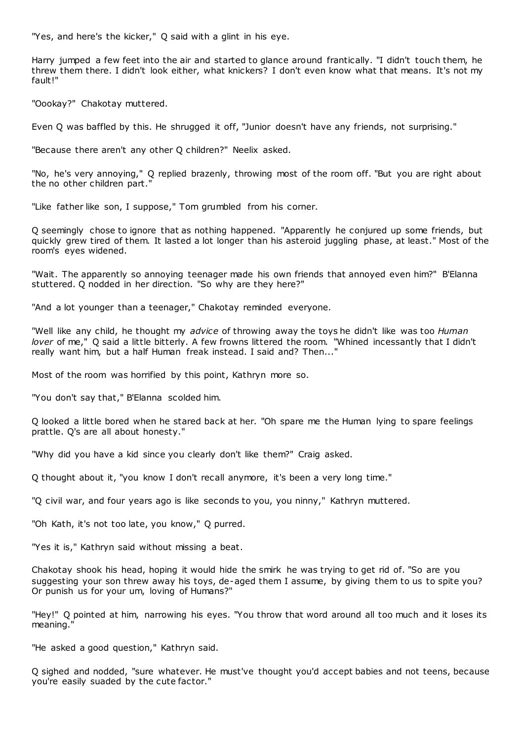"Yes, and here's the kicker," Q said with a glint in his eye.

Harry jumped a few feet into the air and started to glance around frantically. "I didn't touch them, he threw them there. I didn't look either, what knickers? I don't even know what that means. It's not my fault!"

"Oookay?" Chakotay muttered.

Even Q was baffled by this. He shrugged it off, "Junior doesn't have any friends, not surprising."

"Because there aren't any other Q children?" Neelix asked.

"No, he's very annoying," Q replied brazenly, throwing most of the room off. "But you are right about the no other children part."

"Like father like son, I suppose," Tom grumbled from his corner.

Q seemingly chose to ignore that as nothing happened. "Apparently he conjured up some friends, but quickly grew tired of them. It lasted a lot longer than his asteroid juggling phase, at least." Most of the room's eyes widened.

"Wait. The apparently so annoying teenager made his own friends that annoyed even him?" B'Elanna stuttered. Q nodded in her direction. "So why are they here?"

"And a lot younger than a teenager," Chakotay reminded everyone.

"Well like any child, he thought my *advice* of throwing away the toys he didn't like was too *Human lover* of me," Q said a little bitterly. A few frowns littered the room. "Whined incessantly that I didn't really want him, but a half Human freak instead. I said and? Then..."

Most of the room was horrified by this point, Kathryn more so.

"You don't say that," B'Elanna scolded him.

Q looked a little bored when he stared back at her. "Oh spare me the Human lying to spare feelings prattle. Q's are all about honesty."

"Why did you have a kid since you clearly don't like them?" Craig asked.

Q thought about it, "you know I don't recall anymore, it's been a very long time."

"Q civil war, and four years ago is like seconds to you, you ninny," Kathryn muttered.

"Oh Kath, it's not too late, you know," Q purred.

"Yes it is," Kathryn said without missing a beat.

Chakotay shook his head, hoping it would hide the smirk he was trying to get rid of. "So are you suggesting your son threw away his toys, de-aged them I assume, by giving them to us to spite you? Or punish us for your um, loving of Humans?"

"Hey!" Q pointed at him, narrowing his eyes. "You throw that word around all too much and it loses its meaning."

"He asked a good question," Kathryn said.

Q sighed and nodded, "sure whatever. He must've thought you'd accept babies and not teens, because you're easily suaded by the cute factor."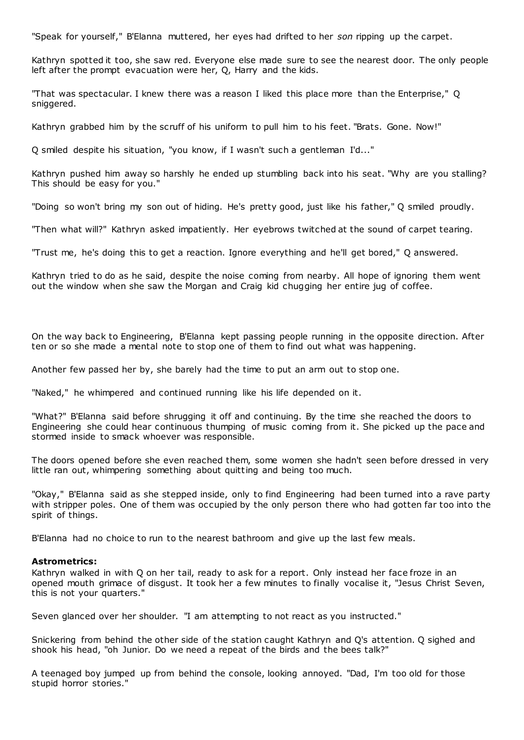"Speak for yourself," B'Elanna muttered, her eyes had drifted to her *son* ripping up the carpet.

Kathryn spotted it too, she saw red. Everyone else made sure to see the nearest door. The only people left after the prompt evacuation were her, Q, Harry and the kids.

"That was spectacular. I knew there was a reason I liked this place more than the Enterprise," Q sniggered.

Kathryn grabbed him by the scruff of his uniform to pull him to his feet. "Brats. Gone. Now!"

Q smiled despite his situation, "you know, if I wasn't such a gentleman I'd..."

Kathryn pushed him away so harshly he ended up stumbling back into his seat. "Why are you stalling? This should be easy for you."

"Doing so won't bring my son out of hiding. He's pretty good, just like his father," Q smiled proudly.

"Then what will?" Kathryn asked impatiently. Her eyebrows twitched at the sound of carpet tearing.

"Trust me, he's doing this to get a reaction. Ignore everything and he'll get bored," Q answered.

Kathryn tried to do as he said, despite the noise coming from nearby. All hope of ignoring them went out the window when she saw the Morgan and Craig kid chugging her entire jug of coffee.

On the way back to Engineering, B'Elanna kept passing people running in the opposite direction. After ten or so she made a mental note to stop one of them to find out what was happening.

Another few passed her by, she barely had the time to put an arm out to stop one.

"Naked," he whimpered and continued running like his life depended on it.

"What?" B'Elanna said before shrugging it off and continuing. By the time she reached the doors to Engineering she could hear continuous thumping of music coming from it. She picked up the pace and stormed inside to smack whoever was responsible.

The doors opened before she even reached them, some women she hadn't seen before dressed in very little ran out, whimpering something about quitting and being too much.

"Okay," B'Elanna said as she stepped inside, only to find Engineering had been turned into a rave party with stripper poles. One of them was occupied by the only person there who had gotten far too into the spirit of things.

B'Elanna had no choice to run to the nearest bathroom and give up the last few meals.

## **Astrometrics:**

Kathryn walked in with Q on her tail, ready to ask for a report. Only instead her face froze in an opened mouth grimace of disgust. It took her a few minutes to finally vocalise it, "Jesus Christ Seven, this is not your quarters."

Seven glanced over her shoulder. "I am attempting to not react as you instructed."

Snickering from behind the other side of the station caught Kathryn and Q's attention. Q sighed and shook his head, "oh Junior. Do we need a repeat of the birds and the bees talk?"

A teenaged boy jumped up from behind the console, looking annoyed. "Dad, I'm too old for those stupid horror stories."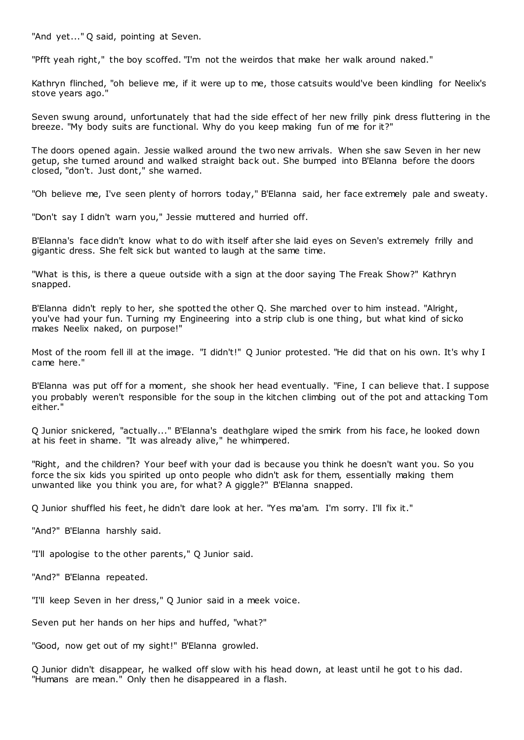"And yet..." Q said, pointing at Seven.

"Pfft yeah right," the boy scoffed. "I'm not the weirdos that make her walk around naked."

Kathryn flinched, "oh believe me, if it were up to me, those catsuits would've been kindling for Neelix's stove years ago."

Seven swung around, unfortunately that had the side effect of her new frilly pink dress fluttering in the breeze. "My body suits are functional. Why do you keep making fun of me for it?"

The doors opened again. Jessie walked around the two new arrivals. When she saw Seven in her new getup, she turned around and walked straight back out. She bumped into B'Elanna before the doors closed, "don't. Just dont," she warned.

"Oh believe me, I've seen plenty of horrors today," B'Elanna said, her face extremely pale and sweaty.

"Don't say I didn't warn you," Jessie muttered and hurried off.

B'Elanna's face didn't know what to do with itself after she laid eyes on Seven's extremely frilly and gigantic dress. She felt sick but wanted to laugh at the same time.

"What is this, is there a queue outside with a sign at the door saying The Freak Show?" Kathryn snapped.

B'Elanna didn't reply to her, she spotted the other Q. She marched over to him instead. "Alright, you've had your fun. Turning my Engineering into a strip club is one thing, but what kind of sicko makes Neelix naked, on purpose!"

Most of the room fell ill at the image. "I didn't!" Q Junior protested. "He did that on his own. It's why I came here."

B'Elanna was put off for a moment, she shook her head eventually. "Fine, I can believe that. I suppose you probably weren't responsible for the soup in the kitchen climbing out of the pot and attacking Tom either."

Q Junior snickered, "actually..." B'Elanna's deathglare wiped the smirk from his face, he looked down at his feet in shame. "It was already alive," he whimpered.

"Right, and the children? Your beef with your dad is because you think he doesn't want you. So you force the six kids you spirited up onto people who didn't ask for them, essentially making them unwanted like you think you are, for what? A giggle?" B'Elanna snapped.

Q Junior shuffled his feet, he didn't dare look at her. "Yes ma'am. I'm sorry. I'll fix it."

"And?" B'Elanna harshly said.

"I'll apologise to the other parents," Q Junior said.

"And?" B'Elanna repeated.

"I'll keep Seven in her dress," Q Junior said in a meek voice.

Seven put her hands on her hips and huffed, "what?"

"Good, now get out of my sight!" B'Elanna growled.

Q Junior didn't disappear, he walked off slow with his head down, at least until he got t o his dad. "Humans are mean." Only then he disappeared in a flash.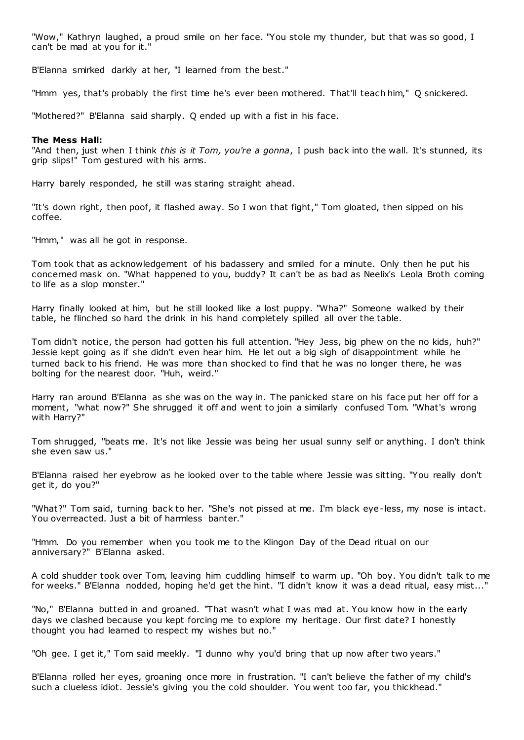"Wow," Kathryn laughed, a proud smile on her face. "You stole my thunder, but that was so good, I can't be mad at you for it."

B'Elanna smirked darkly at her, "I learned from the best."

"Hmm yes, that's probably the first time he's ever been mothered. That'll teach him," Q snickered.

"Mothered?" B'Elanna said sharply. Q ended up with a fist in his face.

### **The Mess Hall:**

"And then, just when I think *this is it Tom, you're a gonna*, I push back into the wall. It's stunned, its grip slips!" Tom gestured with his arms.

Harry barely responded, he still was staring straight ahead.

"It's down right, then poof, it flashed away. So I won that fight," Tom gloated, then sipped on his coffee.

"Hmm," was all he got in response.

Tom took that as acknowledgement of his badassery and smiled for a minute. Only then he put his concerned mask on. "What happened to you, buddy? It can't be as bad as Neelix's Leola Broth coming to life as a slop monster."

Harry finally looked at him, but he still looked like a lost puppy. "Wha?" Someone walked by their table, he flinched so hard the drink in his hand completely spilled all over the table.

Tom didn't notice, the person had gotten his full attention. "Hey Jess, big phew on the no kids, huh?" Jessie kept going as if she didn't even hear him. He let out a big sigh of disappointment while he turned back to his friend. He was more than shocked to find that he was no longer there, he was bolting for the nearest door. "Huh, weird."

Harry ran around B'Elanna as she was on the way in. The panicked stare on his face put her off for a moment, "what now?" She shrugged it off and went to join a similarly confused Tom. "What's wrong with Harry?"

Tom shrugged, "beats me. It's not like Jessie was being her usual sunny self or anything. I don't think she even saw us."

B'Elanna raised her eyebrow as he looked over to the table where Jessie was sitting. "You really don't get it, do you?"

"What?" Tom said, turning back to her. "She's not pissed at me. I'm black eye-less, my nose is intact. You overreacted. Just a bit of harmless banter."

"Hmm. Do you remember when you took me to the Klingon Day of the Dead ritual on our anniversary?" B'Elanna asked.

A cold shudder took over Tom, leaving him cuddling himself to warm up. "Oh boy. You didn't talk to me for weeks." B'Elanna nodded, hoping he'd get the hint. "I didn't know it was a dead ritual, easy mist..."

"No," B'Elanna butted in and groaned. "That wasn't what I was mad at. You know how in the early days we clashed because you kept forcing me to explore my heritage. Our first date? I honestly thought you had learned to respect my wishes but no."

"Oh gee. I get it," Tom said meekly. "I dunno why you'd bring that up now after two years."

B'Elanna rolled her eyes, groaning once more in frustration. "I can't believe the father of my child's such a clueless idiot. Jessie's giving you the cold shoulder. You went too far, you thickhead."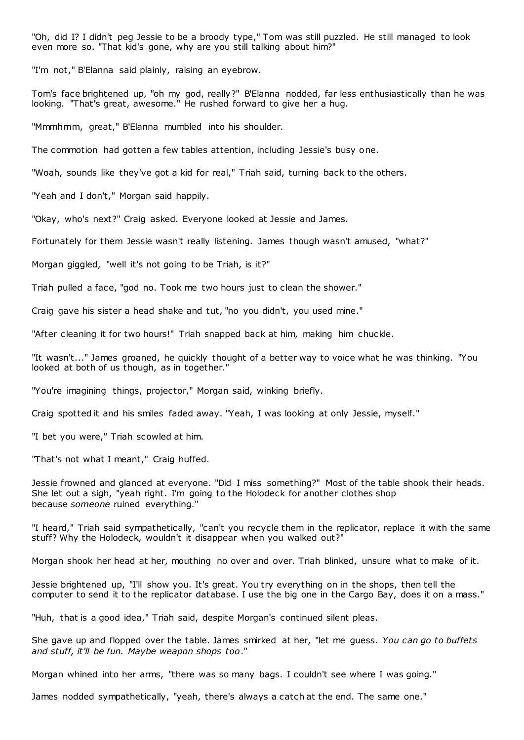"Oh, did I? I didn't peg Jessie to be a broody type," Tom was still puzzled. He still managed to look even more so. "That kid's gone, why are you still talking about him?"

"I'm not," B'Elanna said plainly, raising an eyebrow.

Tom's face brightened up, "oh my god, really?" B'Elanna nodded, far less enthusiastically than he was looking. "That's great, awesome." He rushed forward to give her a hug.

"Mmmhmm, great," B'Elanna mumbled into his shoulder.

The commotion had gotten a few tables attention, including Jessie's busy one.

"Woah, sounds like they've got a kid for real," Triah said, turning back to the others.

"Yeah and I don't," Morgan said happily.

"Okay, who's next?" Craig asked. Everyone looked at Jessie and James.

Fortunately for them Jessie wasn't really listening. James though wasn't amused, "what?"

Morgan giggled, "well it's not going to be Triah, is it?"

Triah pulled a face, "god no. Took me two hours just to clean the shower."

Craig gave his sister a head shake and tut, "no you didn't, you used mine."

"After cleaning it for two hours!" Triah snapped back at him, making him chuckle.

"It wasn't..." James groaned, he quickly thought of a better way to voice what he was thinking. "You looked at both of us though, as in together."

"You're imagining things, projector," Morgan said, winking briefly.

Craig spotted it and his smiles faded away. "Yeah, I was looking at only Jessie, myself."

"I bet you were," Triah scowled at him.

"That's not what I meant," Craig huffed.

Jessie frowned and glanced at everyone. "Did I miss something?" Most of the table shook their heads. She let out a sigh, "yeah right. I'm going to the Holodeck for another clothes shop because *someone* ruined everything."

"I heard," Triah said sympathetically, "can't you recycle them in the replicator, replace it with the same stuff? Why the Holodeck, wouldn't it disappear when you walked out?"

Morgan shook her head at her, mouthing no over and over. Triah blinked, unsure what to make of it.

Jessie brightened up, "I'll show you. It's great. You try everything on in the shops, then tell the computer to send it to the replicator database. I use the big one in the Cargo Bay, does it on a mass."

"Huh, that is a good idea," Triah said, despite Morgan's continued silent pleas.

She gave up and flopped over the table. James smirked at her, "let me guess. *You can go to buffets and stuff, it'll be fun. Maybe weapon shops too*."

Morgan whined into her arms, "there was so many bags. I couldn't see where I was going."

James nodded sympathetically, "yeah, there's always a catch at the end. The same one."